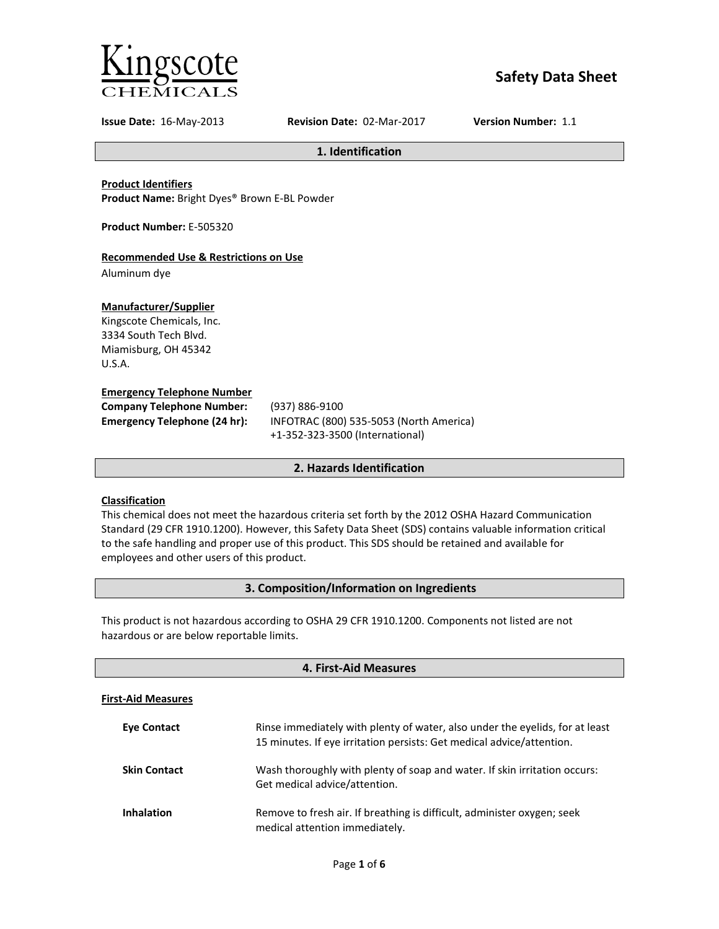

# **Safety Data Sheet**

**Issue Date:** 16-May-2013 **Revision Date:** 02-Mar-2017 **Version Number:** 1.1

**1. Identification**

**Product Identifiers**

**Product Name:** Bright Dyes® Brown E-BL Powder

**Product Number:** E-505320

## **Recommended Use & Restrictions on Use**

Aluminum dye

## **Manufacturer/Supplier**

Kingscote Chemicals, Inc. 3334 South Tech Blvd. Miamisburg, OH 45342 U.S.A.

## **Emergency Telephone Number**

| <b>Company Telephone Number:</b> | (937)      |
|----------------------------------|------------|
| Emergency Telephone (24 hr):     | <b>INF</b> |
|                                  |            |

**Company Telephone Number:** (937) 886-9100 **Emergency Telephone (24 hr):** INFOTRAC (800) 535-5053 (North America) +1-352-323-3500 (International)

## **2. Hazards Identification**

## **Classification**

This chemical does not meet the hazardous criteria set forth by the 2012 OSHA Hazard Communication Standard (29 CFR 1910.1200). However, this Safety Data Sheet (SDS) contains valuable information critical to the safe handling and proper use of this product. This SDS should be retained and available for employees and other users of this product.

## **3. Composition/Information on Ingredients**

This product is not hazardous according to OSHA 29 CFR 1910.1200. Components not listed are not hazardous or are below reportable limits.

| 4. First-Aid Measures     |                                                                                                                                                       |  |
|---------------------------|-------------------------------------------------------------------------------------------------------------------------------------------------------|--|
| <b>First-Aid Measures</b> |                                                                                                                                                       |  |
| <b>Eve Contact</b>        | Rinse immediately with plenty of water, also under the eyelids, for at least<br>15 minutes. If eye irritation persists: Get medical advice/attention. |  |
| <b>Skin Contact</b>       | Wash thoroughly with plenty of soap and water. If skin irritation occurs:<br>Get medical advice/attention.                                            |  |
| <b>Inhalation</b>         | Remove to fresh air. If breathing is difficult, administer oxygen; seek<br>medical attention immediately.                                             |  |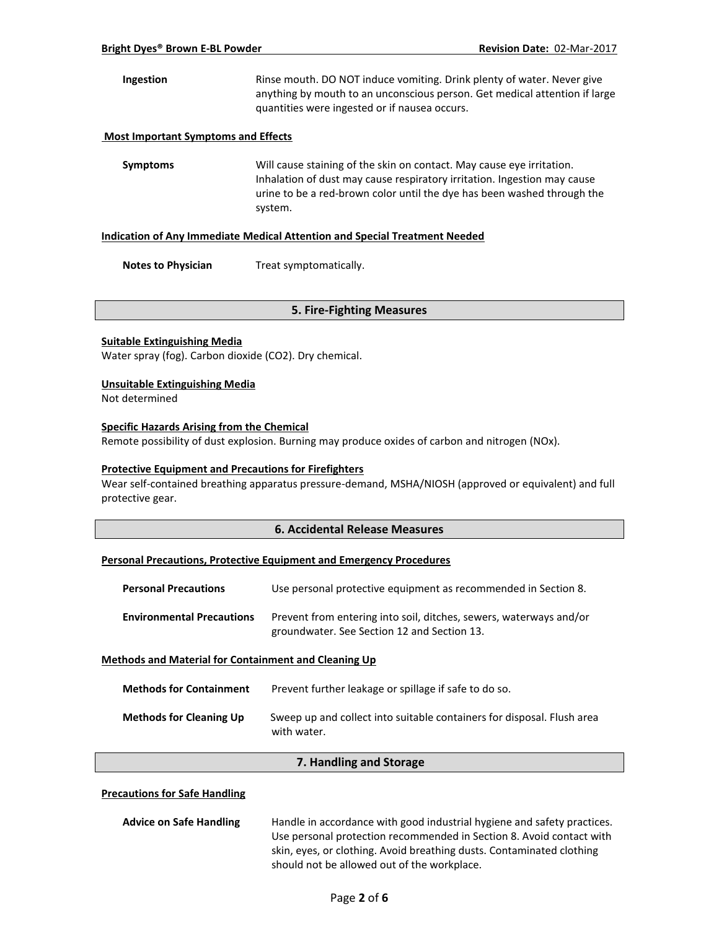**Ingestion** Rinse mouth. DO NOT induce vomiting. Drink plenty of water. Never give anything by mouth to an unconscious person. Get medical attention if large quantities were ingested or if nausea occurs.

#### **Most Important Symptoms and Effects**

**Symptoms** Will cause staining of the skin on contact. May cause eye irritation. Inhalation of dust may cause respiratory irritation. Ingestion may cause urine to be a red-brown color until the dye has been washed through the system.

#### **Indication of Any Immediate Medical Attention and Special Treatment Needed**

**Notes to Physician** Treat symptomatically.

#### **5. Fire-Fighting Measures**

#### **Suitable Extinguishing Media**

Water spray (fog). Carbon dioxide (CO2). Dry chemical.

#### **Unsuitable Extinguishing Media**

Not determined

## **Specific Hazards Arising from the Chemical**

Remote possibility of dust explosion. Burning may produce oxides of carbon and nitrogen (NOx).

#### **Protective Equipment and Precautions for Firefighters**

Wear self-contained breathing apparatus pressure-demand, MSHA/NIOSH (approved or equivalent) and full protective gear.

#### **6. Accidental Release Measures**

#### **Personal Precautions, Protective Equipment and Emergency Procedures**

| <b>Personal Precautions</b>                                 | Use personal protective equipment as recommended in Section 8.                                                    |  |
|-------------------------------------------------------------|-------------------------------------------------------------------------------------------------------------------|--|
| <b>Environmental Precautions</b>                            | Prevent from entering into soil, ditches, sewers, waterways and/or<br>groundwater. See Section 12 and Section 13. |  |
| <b>Methods and Material for Containment and Cleaning Up</b> |                                                                                                                   |  |

| <b>Methods for Containment</b> | Prevent further leakage or spillage if safe to do so.                                 |
|--------------------------------|---------------------------------------------------------------------------------------|
| <b>Methods for Cleaning Up</b> | Sweep up and collect into suitable containers for disposal. Flush area<br>with water. |

#### **7. Handling and Storage**

## **Precautions for Safe Handling**

| <b>Advice on Safe Handling</b> | Handle in accordance with good industrial hygiene and safety practices. |  |
|--------------------------------|-------------------------------------------------------------------------|--|
|                                | Use personal protection recommended in Section 8. Avoid contact with    |  |
|                                | skin, eyes, or clothing. Avoid breathing dusts. Contaminated clothing   |  |
|                                | should not be allowed out of the workplace.                             |  |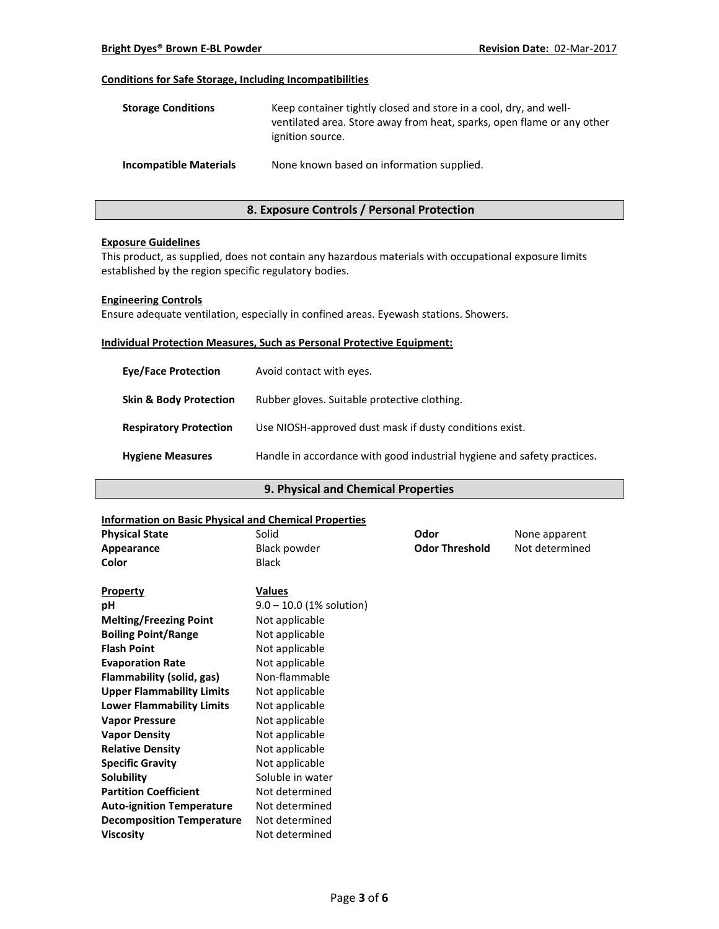## **Conditions for Safe Storage, Including Incompatibilities**

| <b>Storage Conditions</b>     | Keep container tightly closed and store in a cool, dry, and well-<br>ventilated area. Store away from heat, sparks, open flame or any other<br>ignition source. |
|-------------------------------|-----------------------------------------------------------------------------------------------------------------------------------------------------------------|
| <b>Incompatible Materials</b> | None known based on information supplied.                                                                                                                       |

## **8. Exposure Controls / Personal Protection**

#### **Exposure Guidelines**

This product, as supplied, does not contain any hazardous materials with occupational exposure limits established by the region specific regulatory bodies.

#### **Engineering Controls**

Ensure adequate ventilation, especially in confined areas. Eyewash stations. Showers.

#### **Individual Protection Measures, Such as Personal Protective Equipment:**

| <b>Eve/Face Protection</b>        | Avoid contact with eyes.                                                |
|-----------------------------------|-------------------------------------------------------------------------|
| <b>Skin &amp; Body Protection</b> | Rubber gloves. Suitable protective clothing.                            |
| <b>Respiratory Protection</b>     | Use NIOSH-approved dust mask if dusty conditions exist.                 |
| <b>Hygiene Measures</b>           | Handle in accordance with good industrial hygiene and safety practices. |

## **9. Physical and Chemical Properties**

#### **Information on Basic Physical and Chemical Properties**

| <b>Physical State</b>            | Solid                      | Odor                  | None apparent  |
|----------------------------------|----------------------------|-----------------------|----------------|
| Appearance                       | <b>Black powder</b>        | <b>Odor Threshold</b> | Not determined |
| Color                            | <b>Black</b>               |                       |                |
| <b>Property</b>                  | <b>Values</b>              |                       |                |
| рH                               | $9.0 - 10.0$ (1% solution) |                       |                |
| <b>Melting/Freezing Point</b>    | Not applicable             |                       |                |
| <b>Boiling Point/Range</b>       | Not applicable             |                       |                |
| <b>Flash Point</b>               | Not applicable             |                       |                |
| <b>Evaporation Rate</b>          | Not applicable             |                       |                |
| Flammability (solid, gas)        | Non-flammable              |                       |                |
| <b>Upper Flammability Limits</b> | Not applicable             |                       |                |
| <b>Lower Flammability Limits</b> | Not applicable             |                       |                |
| <b>Vapor Pressure</b>            | Not applicable             |                       |                |
| <b>Vapor Density</b>             | Not applicable             |                       |                |
| <b>Relative Density</b>          | Not applicable             |                       |                |
| <b>Specific Gravity</b>          | Not applicable             |                       |                |
| Solubility                       | Soluble in water           |                       |                |
| <b>Partition Coefficient</b>     | Not determined             |                       |                |
| <b>Auto-ignition Temperature</b> | Not determined             |                       |                |
| <b>Decomposition Temperature</b> | Not determined             |                       |                |
| <b>Viscosity</b>                 | Not determined             |                       |                |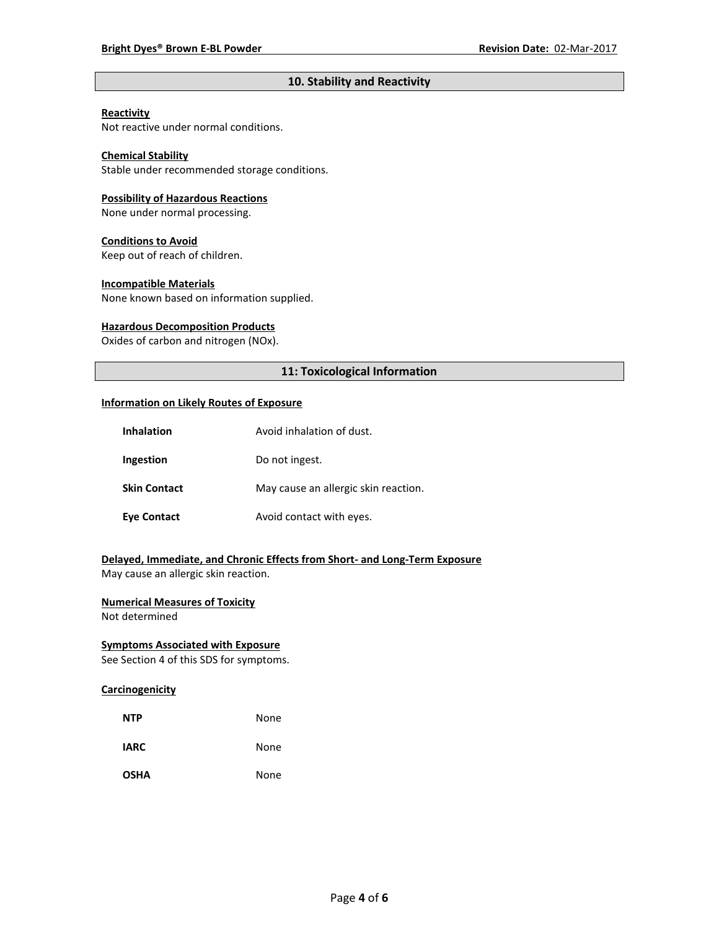## **10. Stability and Reactivity**

## **Reactivity**

Not reactive under normal conditions.

## **Chemical Stability**

Stable under recommended storage conditions.

#### **Possibility of Hazardous Reactions**

None under normal processing.

#### **Conditions to Avoid**

Keep out of reach of children.

#### **Incompatible Materials**

None known based on information supplied.

#### **Hazardous Decomposition Products**

Oxides of carbon and nitrogen (NOx).

## **11: Toxicological Information**

#### **Information on Likely Routes of Exposure**

| <b>Inhalation</b>   | Avoid inhalation of dust.            |
|---------------------|--------------------------------------|
| Ingestion           | Do not ingest.                       |
| <b>Skin Contact</b> | May cause an allergic skin reaction. |
| <b>Eye Contact</b>  | Avoid contact with eyes.             |

## **Delayed, Immediate, and Chronic Effects from Short- and Long-Term Exposure**

May cause an allergic skin reaction.

## **Numerical Measures of Toxicity**

Not determined

## **Symptoms Associated with Exposure**

See Section 4 of this SDS for symptoms.

## **Carcinogenicity**

| <b>NTP</b>  | None |
|-------------|------|
| <b>IARC</b> | None |
| <b>OSHA</b> | None |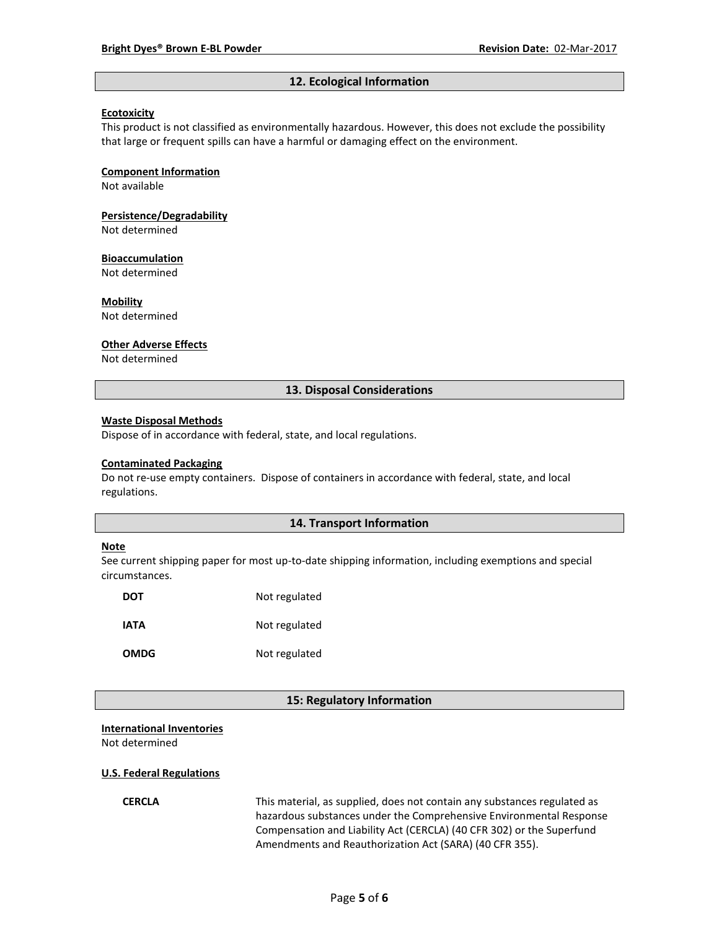#### **12. Ecological Information**

#### **Ecotoxicity**

This product is not classified as environmentally hazardous. However, this does not exclude the possibility that large or frequent spills can have a harmful or damaging effect on the environment.

#### **Component Information**

Not available

# **Persistence/Degradability**

Not determined

#### **Bioaccumulation**

Not determined

#### **Mobility**

Not determined

#### **Other Adverse Effects**

Not determined

#### **13. Disposal Considerations**

#### **Waste Disposal Methods**

Dispose of in accordance with federal, state, and local regulations.

#### **Contaminated Packaging**

Do not re-use empty containers.Dispose of containers in accordance with federal, state, and local regulations.

## **14. Transport Information**

#### **Note**

See current shipping paper for most up-to-date shipping information, including exemptions and special circumstances.

| <b>DOT</b>  | Not regulated |
|-------------|---------------|
| IATA        | Not regulated |
| <b>OMDG</b> | Not regulated |

#### **15: Regulatory Information**

#### **International Inventories**

Not determined

#### **U.S. Federal Regulations**

**CERCLA** This material, as supplied, does not contain any substances regulated as hazardous substances under the Comprehensive Environmental Response Compensation and Liability Act (CERCLA) (40 CFR 302) or the Superfund Amendments and Reauthorization Act (SARA) (40 CFR 355).